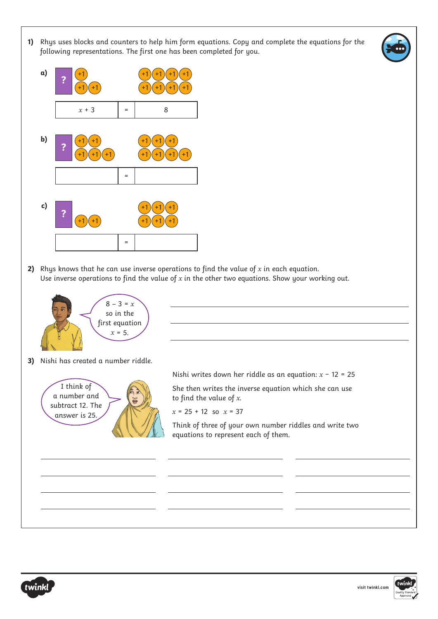**1)** Rhys uses blocks and counters to help him form equations. Copy and complete the equations for the following representations. The first one has been completed for you.



**2)** Rhys knows that he can use inverse operations to find the value of *x* in each equation. Use inverse operations to find the value of *x* in the other two equations. Show your working out.





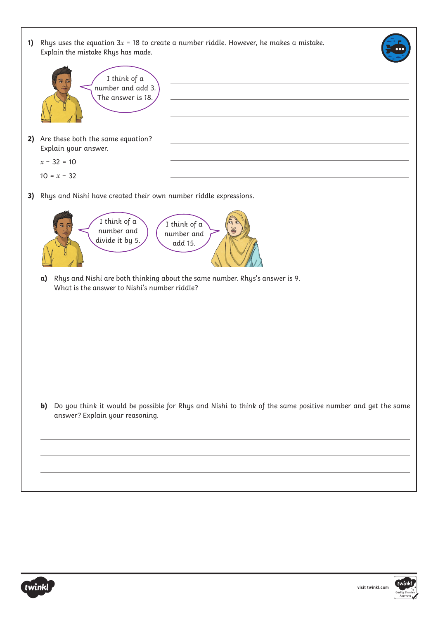